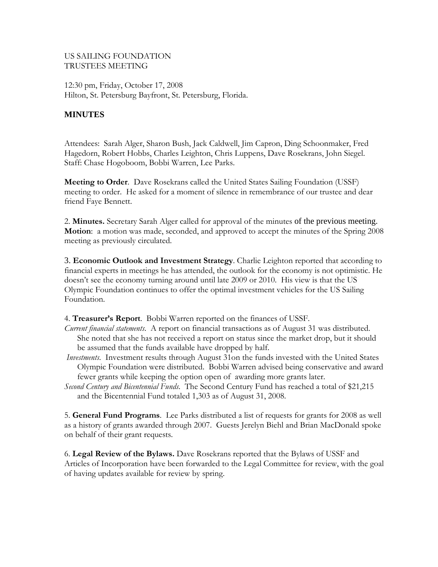## US SAILING FOUNDATION TRUSTEES MEETING

12:30 pm, Friday, October 17, 2008 Hilton, St. Petersburg Bayfront, St. Petersburg, Florida.

## **MINUTES**

Attendees: Sarah Alger, Sharon Bush, Jack Caldwell, Jim Capron, Ding Schoonmaker, Fred Hagedorn, Robert Hobbs, Charles Leighton, Chris Luppens, Dave Rosekrans, John Siegel. Staff: Chase Hogoboom, Bobbi Warren, Lee Parks.

**Meeting to Order**. Dave Rosekrans called the United States Sailing Foundation (USSF) meeting to order. He asked for a moment of silence in remembrance of our trustee and dear friend Faye Bennett.

2. **Minutes.** Secretary Sarah Alger called for approval of the minutes of the previous meeting. **Motion**: a motion was made, seconded, and approved to accept the minutes of the Spring 2008 meeting as previously circulated.

3. **Economic Outlook and Investment Strategy**. Charlie Leighton reported that according to financial experts in meetings he has attended, the outlook for the economy is not optimistic. He doesn't see the economy turning around until late 2009 or 2010. His view is that the US Olympic Foundation continues to offer the optimal investment vehicles for the US Sailing Foundation.

4. **Treasurer's Report**. Bobbi Warren reported on the finances of USSF.

- *Current financial statements*. A report on financial transactions as of August 31 was distributed. She noted that she has not received a report on status since the market drop, but it should be assumed that the funds available have dropped by half.
- *Investments*. Investment results through August 31on the funds invested with the United States Olympic Foundation were distributed. Bobbi Warren advised being conservative and award fewer grants while keeping the option open of awarding more grants later.
- *Second Century and Bicentennial Funds*. The Second Century Fund has reached a total of \$21,215 and the Bicentennial Fund totaled 1,303 as of August 31, 2008.

5. **General Fund Programs**. Lee Parks distributed a list of requests for grants for 2008 as well as a history of grants awarded through 2007. Guests Jerelyn Biehl and Brian MacDonald spoke on behalf of their grant requests.

6. **Legal Review of the Bylaws.** Dave Rosekrans reported that the Bylaws of USSF and Articles of Incorporation have been forwarded to the Legal Committee for review, with the goal of having updates available for review by spring.